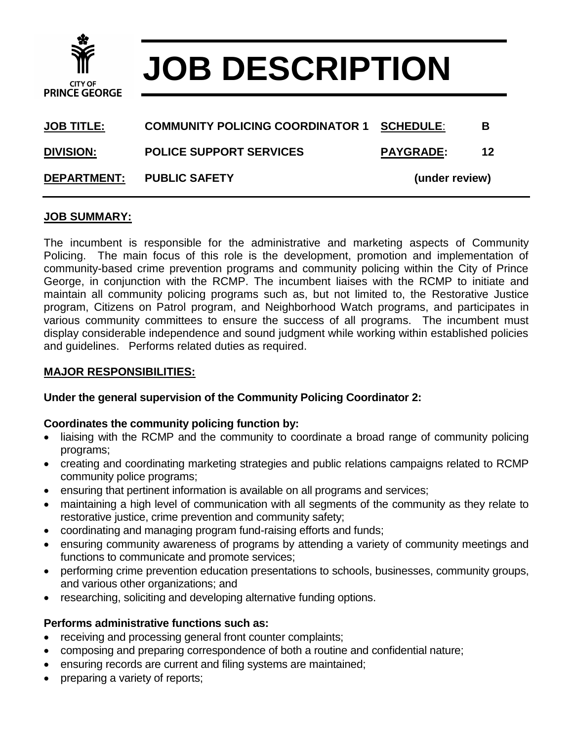

# **JOB DESCRIPTION**

| <b>DEPARTMENT:</b> | <b>PUBLIC SAFETY</b>                    | (under review)   |    |
|--------------------|-----------------------------------------|------------------|----|
| <b>DIVISION:</b>   | <b>POLICE SUPPORT SERVICES</b>          | <b>PAYGRADE:</b> | 12 |
| <b>JOB TITLE:</b>  | <b>COMMUNITY POLICING COORDINATOR 1</b> | <b>SCHEDULE:</b> | в  |

#### **JOB SUMMARY:**

The incumbent is responsible for the administrative and marketing aspects of Community Policing. The main focus of this role is the development, promotion and implementation of community-based crime prevention programs and community policing within the City of Prince George, in conjunction with the RCMP. The incumbent liaises with the RCMP to initiate and maintain all community policing programs such as, but not limited to, the Restorative Justice program, Citizens on Patrol program, and Neighborhood Watch programs, and participates in various community committees to ensure the success of all programs. The incumbent must display considerable independence and sound judgment while working within established policies and guidelines. Performs related duties as required.

#### **MAJOR RESPONSIBILITIES:**

### **Under the general supervision of the Community Policing Coordinator 2:**

#### **Coordinates the community policing function by:**

- liaising with the RCMP and the community to coordinate a broad range of community policing programs;
- creating and coordinating marketing strategies and public relations campaigns related to RCMP community police programs;
- ensuring that pertinent information is available on all programs and services;
- maintaining a high level of communication with all segments of the community as they relate to restorative justice, crime prevention and community safety;
- coordinating and managing program fund-raising efforts and funds;
- ensuring community awareness of programs by attending a variety of community meetings and functions to communicate and promote services;
- performing crime prevention education presentations to schools, businesses, community groups, and various other organizations; and
- researching, soliciting and developing alternative funding options.

### **Performs administrative functions such as:**

- receiving and processing general front counter complaints;
- composing and preparing correspondence of both a routine and confidential nature;
- ensuring records are current and filing systems are maintained;
- preparing a variety of reports;